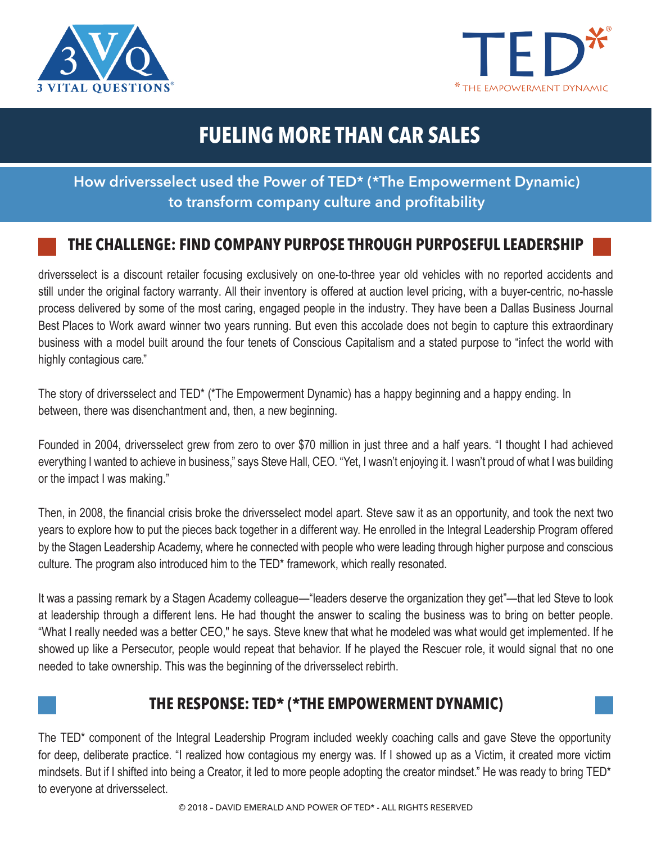



# **FUELING MORE THAN CAR SALES**

## **How driversselect used the Power of TED\* (\*The Empowerment Dynamic) to transform company culture and profitability**

## **THE CHALLENGE: FIND COMPANY PURPOSE THROUGH PURPOSEFUL LEADERSHIP**

driversselect is a discount retailer focusing exclusively on one-to-three year old vehicles with no reported accidents and still under the original factory warranty. All their inventory is offered at auction level pricing, with a buyer-centric, no-hassle process delivered by some of the most caring, engaged people in the industry. They have been a Dallas Business Journal Best Places to Work award winner two years running. But even this accolade does not begin to capture this extraordinary business with a model built around the four tenets of Conscious Capitalism and a stated purpose to "infect the world with highly contagious care."

The story of driversselect and TED\* (\*The Empowerment Dynamic) has a happy beginning and a happy ending. In between, there was disenchantment and, then, a new beginning.

Founded in 2004, driversselect grew from zero to over \$70 million in just three and a half years. "I thought I had achieved everything I wanted to achieve in business," says Steve Hall, CEO. "Yet, I wasn't enjoying it. I wasn't proud of what I was building or the impact I was making."

Then, in 2008, the financial crisis broke the driversselect model apart. Steve saw it as an opportunity, and took the next two years to explore how to put the pieces back together in a different way. He enrolled in the Integral Leadership Program offered by the Stagen Leadership Academy, where he connected with people who were leading through higher purpose and conscious culture. The program also introduced him to the TED\* framework, which really resonated.

It was a passing remark by a Stagen Academy colleague—"leaders deserve the organization they get"—that led Steve to look at leadership through a different lens. He had thought the answer to scaling the business was to bring on better people. "What I really needed was a better CEO," he says. Steve knew that what he modeled was what would get implemented. If he showed up like a Persecutor, people would repeat that behavior. If he played the Rescuer role, it would signal that no one needed to take ownership. This was the beginning of the driversselect rebirth.

### **THE RESPONSE: TED\* (\*THE EMPOWERMENT DYNAMIC)**

The TED\* component of the Integral Leadership Program included weekly coaching calls and gave Steve the opportunity for deep, deliberate practice. "I realized how contagious my energy was. If I showed up as a Victim, it created more victim mindsets. But if I shifted into being a Creator, it led to more people adopting the creator mindset." He was ready to bring TED\* to everyone at driversselect.